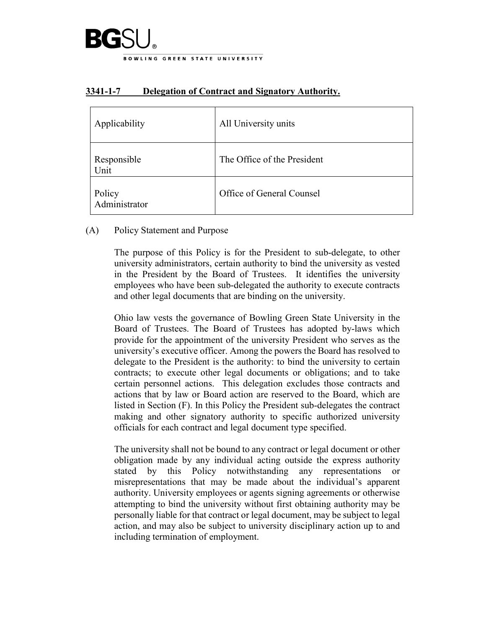

| Applicability           | All University units        |
|-------------------------|-----------------------------|
| Responsible<br>Unit     | The Office of the President |
| Policy<br>Administrator | Office of General Counsel   |

## **3341-1-7 Delegation of Contract and Signatory Authority.**

### (A) Policy Statement and Purpose

The purpose of this Policy is for the President to sub-delegate, to other university administrators, certain authority to bind the university as vested in the President by the Board of Trustees. It identifies the university employees who have been sub-delegated the authority to execute contracts and other legal documents that are binding on the university.

Ohio law vests the governance of Bowling Green State University in the Board of Trustees. The Board of Trustees has adopted by-laws which provide for the appointment of the university President who serves as the university's executive officer. Among the powers the Board has resolved to delegate to the President is the authority: to bind the university to certain contracts; to execute other legal documents or obligations; and to take certain personnel actions. This delegation excludes those contracts and actions that by law or Board action are reserved to the Board, which are listed in Section (F). In this Policy the President sub-delegates the contract making and other signatory authority to specific authorized university officials for each contract and legal document type specified.

The university shall not be bound to any contract or legal document or other obligation made by any individual acting outside the express authority stated by this Policy notwithstanding any representations or misrepresentations that may be made about the individual's apparent authority. University employees or agents signing agreements or otherwise attempting to bind the university without first obtaining authority may be personally liable for that contract or legal document, may be subject to legal action, and may also be subject to university disciplinary action up to and including termination of employment.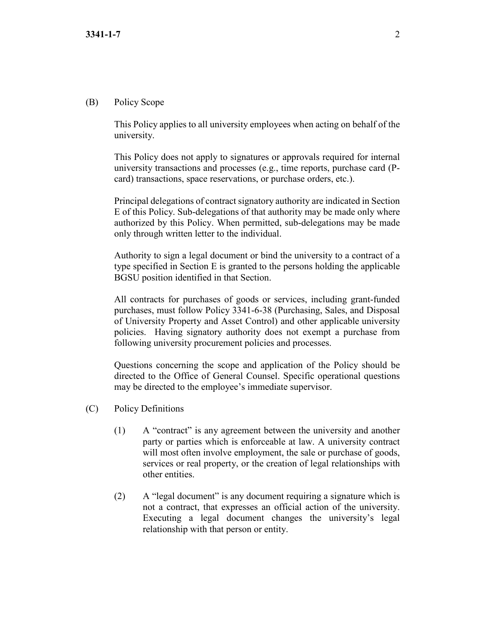#### (B) Policy Scope

This Policy applies to all university employees when acting on behalf of the university.

This Policy does not apply to signatures or approvals required for internal university transactions and processes (e.g., time reports, purchase card (Pcard) transactions, space reservations, or purchase orders, etc.).

Principal delegations of contract signatory authority are indicated in Section E of this Policy. Sub-delegations of that authority may be made only where authorized by this Policy. When permitted, sub-delegations may be made only through written letter to the individual.

Authority to sign a legal document or bind the university to a contract of a type specified in Section E is granted to the persons holding the applicable BGSU position identified in that Section.

All contracts for purchases of goods or services, including grant-funded purchases, must follow Policy 3341-6-38 (Purchasing, Sales, and Disposal of University Property and Asset Control) and other applicable university policies. Having signatory authority does not exempt a purchase from following university procurement policies and processes.

Questions concerning the scope and application of the Policy should be directed to the Office of General Counsel. Specific operational questions may be directed to the employee's immediate supervisor.

- (C) Policy Definitions
	- (1) A "contract" is any agreement between the university and another party or parties which is enforceable at law. A university contract will most often involve employment, the sale or purchase of goods, services or real property, or the creation of legal relationships with other entities.
	- (2) A "legal document" is any document requiring a signature which is not a contract, that expresses an official action of the university. Executing a legal document changes the university's legal relationship with that person or entity.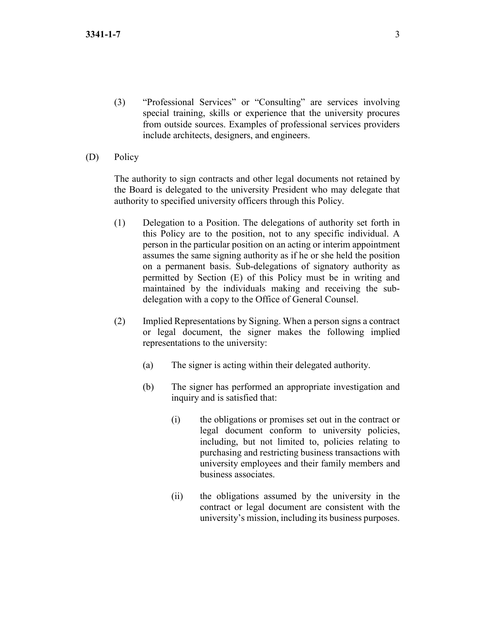- (3) "Professional Services" or "Consulting" are services involving special training, skills or experience that the university procures from outside sources. Examples of professional services providers include architects, designers, and engineers.
- (D) Policy

The authority to sign contracts and other legal documents not retained by the Board is delegated to the university President who may delegate that authority to specified university officers through this Policy.

- (1) Delegation to a Position. The delegations of authority set forth in this Policy are to the position, not to any specific individual. A person in the particular position on an acting or interim appointment assumes the same signing authority as if he or she held the position on a permanent basis. Sub-delegations of signatory authority as permitted by Section (E) of this Policy must be in writing and maintained by the individuals making and receiving the subdelegation with a copy to the Office of General Counsel.
- (2) Implied Representations by Signing. When a person signs a contract or legal document, the signer makes the following implied representations to the university:
	- (a) The signer is acting within their delegated authority.
	- (b) The signer has performed an appropriate investigation and inquiry and is satisfied that:
		- (i) the obligations or promises set out in the contract or legal document conform to university policies, including, but not limited to, policies relating to purchasing and restricting business transactions with university employees and their family members and business associates.
		- (ii) the obligations assumed by the university in the contract or legal document are consistent with the university's mission, including its business purposes.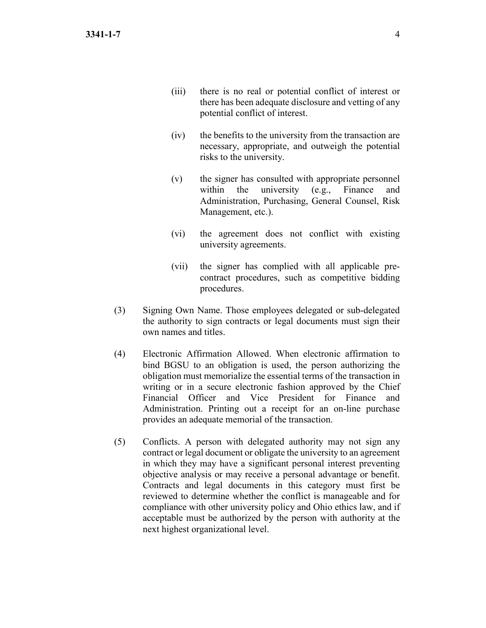- (iii) there is no real or potential conflict of interest or there has been adequate disclosure and vetting of any potential conflict of interest.
- (iv) the benefits to the university from the transaction are necessary, appropriate, and outweigh the potential risks to the university.
- (v) the signer has consulted with appropriate personnel within the university (e.g., Finance and Administration, Purchasing, General Counsel, Risk Management, etc.).
- (vi) the agreement does not conflict with existing university agreements.
- (vii) the signer has complied with all applicable precontract procedures, such as competitive bidding procedures.
- (3) Signing Own Name. Those employees delegated or sub-delegated the authority to sign contracts or legal documents must sign their own names and titles.
- (4) Electronic Affirmation Allowed. When electronic affirmation to bind BGSU to an obligation is used, the person authorizing the obligation must memorialize the essential terms of the transaction in writing or in a secure electronic fashion approved by the Chief Financial Officer and Vice President for Finance and Administration. Printing out a receipt for an on-line purchase provides an adequate memorial of the transaction.
- (5) Conflicts. A person with delegated authority may not sign any contract or legal document or obligate the university to an agreement in which they may have a significant personal interest preventing objective analysis or may receive a personal advantage or benefit. Contracts and legal documents in this category must first be reviewed to determine whether the conflict is manageable and for compliance with other university policy and Ohio ethics law, and if acceptable must be authorized by the person with authority at the next highest organizational level.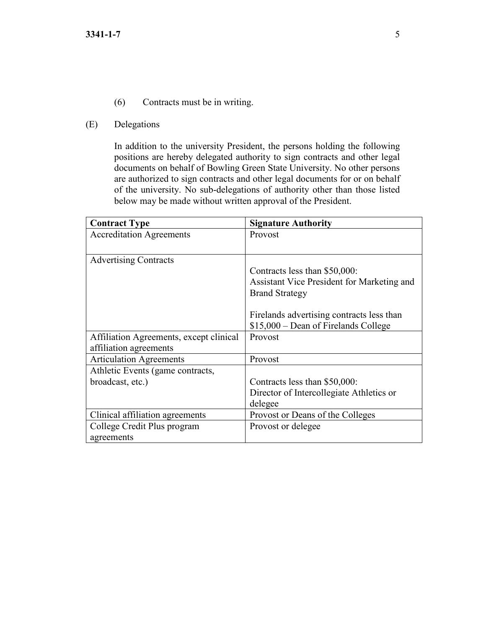- (6) Contracts must be in writing.
- (E) Delegations

In addition to the university President, the persons holding the following positions are hereby delegated authority to sign contracts and other legal documents on behalf of Bowling Green State University. No other persons are authorized to sign contracts and other legal documents for or on behalf of the university. No sub-delegations of authority other than those listed below may be made without written approval of the President.

| <b>Contract Type</b>                    | <b>Signature Authority</b>                 |
|-----------------------------------------|--------------------------------------------|
| <b>Accreditation Agreements</b>         | Provost                                    |
|                                         |                                            |
| <b>Advertising Contracts</b>            |                                            |
|                                         | Contracts less than \$50,000:              |
|                                         | Assistant Vice President for Marketing and |
|                                         | <b>Brand Strategy</b>                      |
|                                         |                                            |
|                                         | Firelands advertising contracts less than  |
|                                         | $$15,000 - Dean$ of Firelands College      |
| Affiliation Agreements, except clinical | Provost                                    |
| affiliation agreements                  |                                            |
| <b>Articulation Agreements</b>          | Provost                                    |
| Athletic Events (game contracts,        |                                            |
| broadcast, etc.)                        | Contracts less than \$50,000:              |
|                                         | Director of Intercollegiate Athletics or   |
|                                         | delegee                                    |
| Clinical affiliation agreements         | Provost or Deans of the Colleges           |
| College Credit Plus program             | Provost or delegee                         |
| agreements                              |                                            |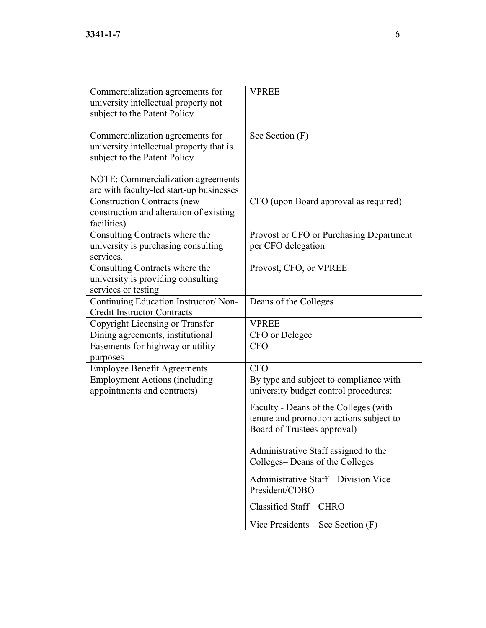| Commercialization agreements for<br>university intellectual property not       | <b>VPREE</b>                                           |
|--------------------------------------------------------------------------------|--------------------------------------------------------|
| subject to the Patent Policy                                                   |                                                        |
| Commercialization agreements for<br>university intellectual property that is   | See Section (F)                                        |
| subject to the Patent Policy                                                   |                                                        |
| NOTE: Commercialization agreements<br>are with faculty-led start-up businesses |                                                        |
| <b>Construction Contracts (new</b>                                             | CFO (upon Board approval as required)                  |
| construction and alteration of existing                                        |                                                        |
| facilities)                                                                    |                                                        |
| Consulting Contracts where the                                                 | Provost or CFO or Purchasing Department                |
| university is purchasing consulting                                            | per CFO delegation                                     |
| services.                                                                      |                                                        |
| Consulting Contracts where the                                                 | Provost, CFO, or VPREE                                 |
| university is providing consulting                                             |                                                        |
| services or testing                                                            |                                                        |
| Continuing Education Instructor/ Non-                                          | Deans of the Colleges                                  |
| <b>Credit Instructor Contracts</b>                                             | <b>VPREE</b>                                           |
| Copyright Licensing or Transfer                                                |                                                        |
| Dining agreements, institutional<br>Easements for highway or utility           | CFO or Delegee<br><b>CFO</b>                           |
| purposes                                                                       |                                                        |
| <b>Employee Benefit Agreements</b>                                             | <b>CFO</b>                                             |
| <b>Employment Actions (including</b>                                           | By type and subject to compliance with                 |
| appointments and contracts)                                                    | university budget control procedures:                  |
|                                                                                | Faculty - Deans of the Colleges (with                  |
|                                                                                | tenure and promotion actions subject to                |
|                                                                                | Board of Trustees approval)                            |
|                                                                                | Administrative Staff assigned to the                   |
|                                                                                | Colleges-Deans of the Colleges                         |
|                                                                                | Administrative Staff – Division Vice<br>President/CDBO |
|                                                                                | Classified Staff - CHRO                                |
|                                                                                | Vice Presidents – See Section $(F)$                    |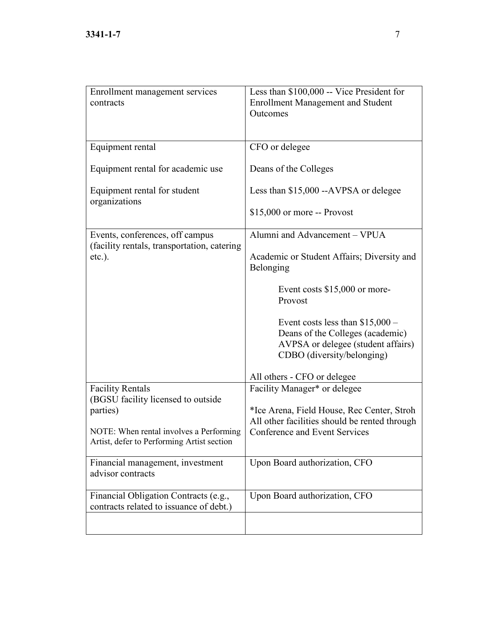| Enrollment management services<br>contracts                                           | Less than \$100,000 -- Vice President for<br><b>Enrollment Management and Student</b><br>Outcomes                                        |
|---------------------------------------------------------------------------------------|------------------------------------------------------------------------------------------------------------------------------------------|
| Equipment rental                                                                      | CFO or delegee                                                                                                                           |
| Equipment rental for academic use                                                     | Deans of the Colleges                                                                                                                    |
| Equipment rental for student<br>organizations                                         | Less than \$15,000 --AVPSA or delegee                                                                                                    |
|                                                                                       | $$15,000$ or more $-$ Provost                                                                                                            |
| Events, conferences, off campus<br>(facility rentals, transportation, catering        | Alumni and Advancement - VPUA                                                                                                            |
| $etc.$ ).                                                                             | Academic or Student Affairs; Diversity and<br>Belonging                                                                                  |
|                                                                                       | Event costs $$15,000$ or more-<br>Provost                                                                                                |
|                                                                                       | Event costs less than $$15,000-$<br>Deans of the Colleges (academic)<br>AVPSA or delegee (student affairs)<br>CDBO (diversity/belonging) |
|                                                                                       | All others - CFO or delegee                                                                                                              |
| <b>Facility Rentals</b><br>(BGSU facility licensed to outside                         | Facility Manager* or delegee                                                                                                             |
| parties)                                                                              | *Ice Arena, Field House, Rec Center, Stroh<br>All other facilities should be rented through                                              |
| NOTE: When rental involves a Performing<br>Artist, defer to Performing Artist section | <b>Conference and Event Services</b>                                                                                                     |
| Financial management, investment<br>advisor contracts                                 | Upon Board authorization, CFO                                                                                                            |
| Financial Obligation Contracts (e.g.,<br>contracts related to issuance of debt.)      | Upon Board authorization, CFO                                                                                                            |
|                                                                                       |                                                                                                                                          |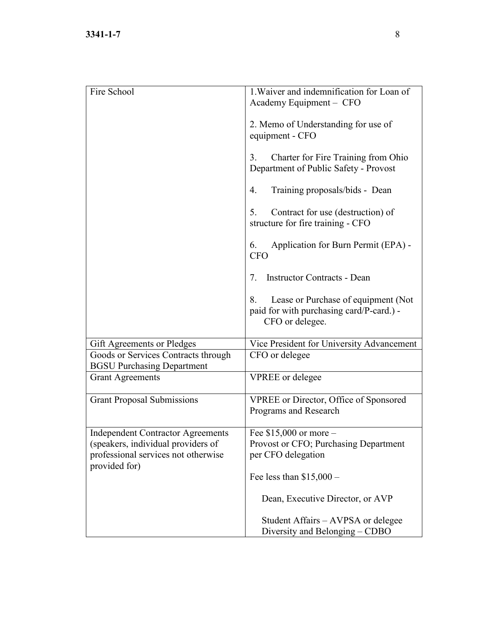| 1. Waiver and indemnification for Loan of<br>Academy Equipment - CFO                                     |
|----------------------------------------------------------------------------------------------------------|
| 2. Memo of Understanding for use of<br>equipment - CFO                                                   |
| Charter for Fire Training from Ohio<br>3.<br>Department of Public Safety - Provost                       |
| Training proposals/bids - Dean<br>4.                                                                     |
| 5.<br>Contract for use (destruction) of<br>structure for fire training - CFO                             |
| Application for Burn Permit (EPA) -<br>6.<br><b>CFO</b>                                                  |
| <b>Instructor Contracts - Dean</b><br>7.                                                                 |
| Lease or Purchase of equipment (Not<br>8.<br>paid for with purchasing card/P-card.) -<br>CFO or delegee. |
| Vice President for University Advancement                                                                |
| CFO or delegee                                                                                           |
| <b>VPREE</b> or delegee                                                                                  |
| <b>VPREE</b> or Director, Office of Sponsored<br>Programs and Research                                   |
| Fee $$15,000$ or more -<br>Provost or CFO; Purchasing Department<br>per CFO delegation                   |
| Fee less than $$15,000-$                                                                                 |
| Dean, Executive Director, or AVP                                                                         |
| Student Affairs – AVPSA or delegee<br>Diversity and Belonging – CDBO                                     |
|                                                                                                          |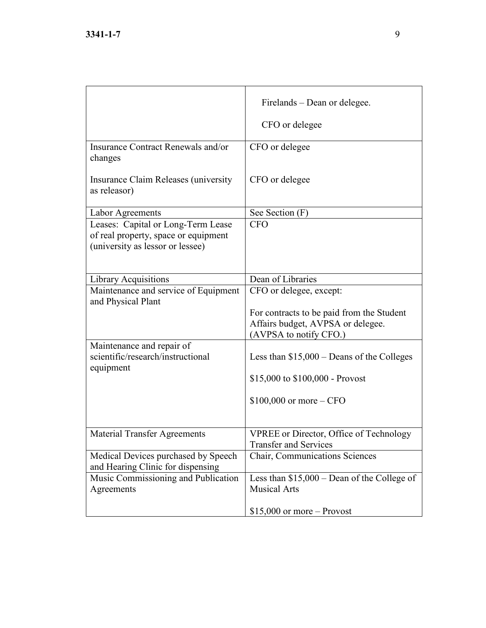|                                                                                                                | Firelands – Dean or delegee.<br>CFO or delegee                                                                                      |
|----------------------------------------------------------------------------------------------------------------|-------------------------------------------------------------------------------------------------------------------------------------|
| Insurance Contract Renewals and/or<br>changes                                                                  | CFO or delegee                                                                                                                      |
| Insurance Claim Releases (university<br>as releasor)                                                           | CFO or delegee                                                                                                                      |
| Labor Agreements                                                                                               | See Section (F)                                                                                                                     |
| Leases: Capital or Long-Term Lease<br>of real property, space or equipment<br>(university as lessor or lessee) | <b>CFO</b>                                                                                                                          |
| <b>Library Acquisitions</b>                                                                                    | Dean of Libraries                                                                                                                   |
| Maintenance and service of Equipment<br>and Physical Plant                                                     | CFO or delegee, except:<br>For contracts to be paid from the Student<br>Affairs budget, AVPSA or delegee.<br>(AVPSA to notify CFO.) |
| Maintenance and repair of                                                                                      |                                                                                                                                     |
| scientific/research/instructional<br>equipment                                                                 | Less than $$15,000 - Deans$ of the Colleges                                                                                         |
|                                                                                                                | \$15,000 to $$100,000$ - Provost                                                                                                    |
|                                                                                                                | $$100,000$ or more – CFO                                                                                                            |
| <b>Material Transfer Agreements</b>                                                                            | <b>VPREE</b> or Director, Office of Technology<br><b>Transfer and Services</b>                                                      |
| Medical Devices purchased by Speech<br>and Hearing Clinic for dispensing                                       | Chair, Communications Sciences                                                                                                      |
| Music Commissioning and Publication                                                                            | Less than $$15,000 - Dean$ of the College of                                                                                        |
| Agreements                                                                                                     | <b>Musical Arts</b>                                                                                                                 |
|                                                                                                                | $$15,000$ or more – Provost                                                                                                         |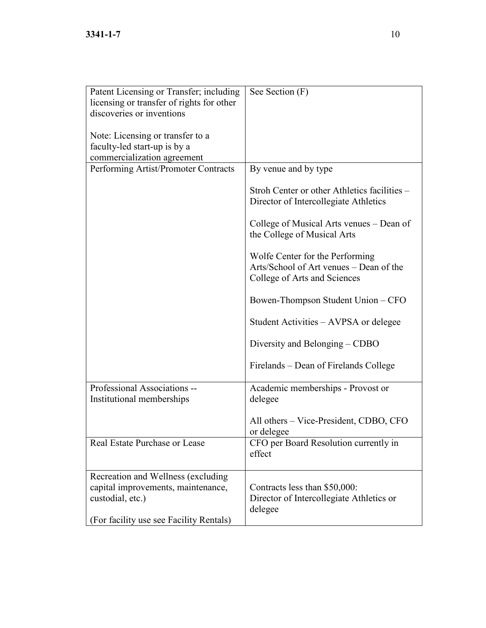| Patent Licensing or Transfer; including   | See Section (F)                              |
|-------------------------------------------|----------------------------------------------|
| licensing or transfer of rights for other |                                              |
| discoveries or inventions                 |                                              |
|                                           |                                              |
| Note: Licensing or transfer to a          |                                              |
| faculty-led start-up is by a              |                                              |
| commercialization agreement               |                                              |
| Performing Artist/Promoter Contracts      | By venue and by type                         |
|                                           |                                              |
|                                           | Stroh Center or other Athletics facilities - |
|                                           | Director of Intercollegiate Athletics        |
|                                           | College of Musical Arts venues – Dean of     |
|                                           | the College of Musical Arts                  |
|                                           |                                              |
|                                           | Wolfe Center for the Performing              |
|                                           | Arts/School of Art venues – Dean of the      |
|                                           | College of Arts and Sciences                 |
|                                           |                                              |
|                                           | Bowen-Thompson Student Union - CFO           |
|                                           |                                              |
|                                           | Student Activities – AVPSA or delegee        |
|                                           | Diversity and Belonging – CDBO               |
|                                           |                                              |
|                                           | Firelands – Dean of Firelands College        |
|                                           |                                              |
| Professional Associations --              | Academic memberships - Provost or            |
| Institutional memberships                 | delegee                                      |
|                                           |                                              |
|                                           | All others – Vice-President, CDBO, CFO       |
|                                           | or delegee                                   |
| Real Estate Purchase or Lease             | CFO per Board Resolution currently in        |
|                                           | effect                                       |
|                                           |                                              |
| Recreation and Wellness (excluding        |                                              |
| capital improvements, maintenance,        | Contracts less than \$50,000:                |
| custodial, etc.)                          | Director of Intercollegiate Athletics or     |
|                                           | delegee                                      |
| (For facility use see Facility Rentals)   |                                              |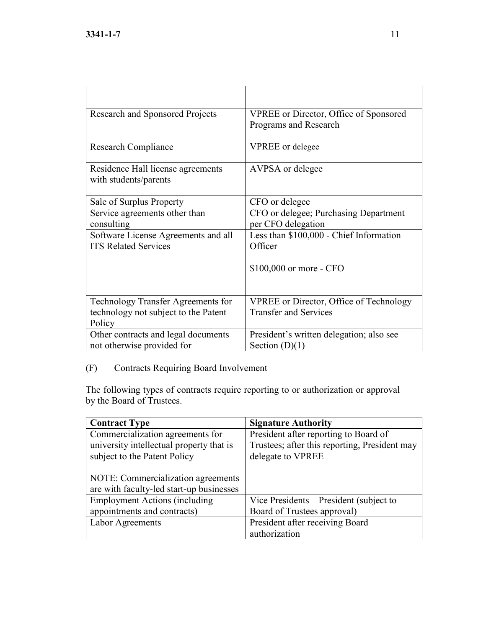| Research and Sponsored Projects                                                             | <b>VPREE</b> or Director, Office of Sponsored<br>Programs and Research         |
|---------------------------------------------------------------------------------------------|--------------------------------------------------------------------------------|
| Research Compliance                                                                         | <b>VPREE</b> or delegee                                                        |
| Residence Hall license agreements<br>with students/parents                                  | AVPSA or delegee                                                               |
| Sale of Surplus Property                                                                    | CFO or delegee                                                                 |
| Service agreements other than<br>consulting                                                 | CFO or delegee; Purchasing Department<br>per CFO delegation                    |
| Software License Agreements and all<br><b>ITS Related Services</b>                          | Less than \$100,000 - Chief Information<br>Officer                             |
|                                                                                             | \$100,000 or more - CFO                                                        |
| <b>Technology Transfer Agreements for</b><br>technology not subject to the Patent<br>Policy | <b>VPREE</b> or Director, Office of Technology<br><b>Transfer and Services</b> |
| Other contracts and legal documents<br>not otherwise provided for                           | President's written delegation; also see<br>Section $(D)(1)$                   |

# (F) Contracts Requiring Board Involvement

The following types of contracts require reporting to or authorization or approval by the Board of Trustees.

| <b>Contract Type</b>                     | <b>Signature Authority</b>                    |
|------------------------------------------|-----------------------------------------------|
| Commercialization agreements for         | President after reporting to Board of         |
| university intellectual property that is | Trustees; after this reporting, President may |
| subject to the Patent Policy             | delegate to VPREE                             |
|                                          |                                               |
| NOTE: Commercialization agreements       |                                               |
| are with faculty-led start-up businesses |                                               |
| <b>Employment Actions (including</b>     | Vice Presidents – President (subject to       |
| appointments and contracts)              | Board of Trustees approval)                   |
| Labor Agreements                         | President after receiving Board               |
|                                          | authorization                                 |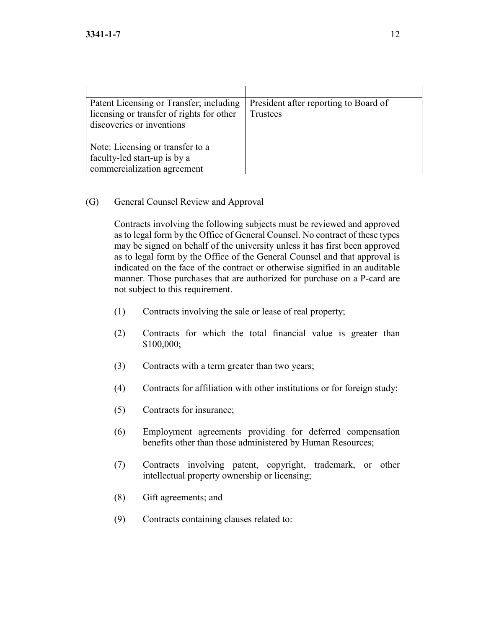| Patent Licensing or Transfer; including<br>licensing or transfer of rights for other<br>discoveries or inventions | President after reporting to Board of<br>Trustees |
|-------------------------------------------------------------------------------------------------------------------|---------------------------------------------------|
| Note: Licensing or transfer to a<br>faculty-led start-up is by a<br>commercialization agreement                   |                                                   |

#### (G) General Counsel Review and Approval

Contracts involving the following subjects must be reviewed and approved as to legal form by the Office of General Counsel. No contract of these types may be signed on behalf of the university unless it has first been approved as to legal form by the Office of the General Counsel and that approval is indicated on the face of the contract or otherwise signified in an auditable manner. Those purchases that are authorized for purchase on a P-card are not subject to this requirement.

- (1) Contracts involving the sale or lease of real property;
- (2) Contracts for which the total financial value is greater than \$100,000;
- (3) Contracts with a term greater than two years;
- (4) Contracts for affiliation with other institutions or for foreign study;
- (5) Contracts for insurance;
- (6) Employment agreements providing for deferred compensation benefits other than those administered by Human Resources;
- (7) Contracts involving patent, copyright, trademark, or other intellectual property ownership or licensing;
- (8) Gift agreements; and
- (9) Contracts containing clauses related to: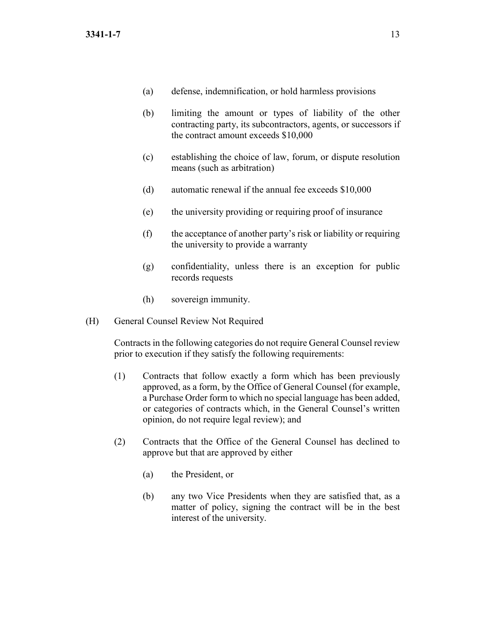- (a) defense, indemnification, or hold harmless provisions
- (b) limiting the amount or types of liability of the other contracting party, its subcontractors, agents, or successors if the contract amount exceeds \$10,000
- (c) establishing the choice of law, forum, or dispute resolution means (such as arbitration)
- (d) automatic renewal if the annual fee exceeds \$10,000
- (e) the university providing or requiring proof of insurance
- (f) the acceptance of another party's risk or liability or requiring the university to provide a warranty
- (g) confidentiality, unless there is an exception for public records requests
- (h) sovereign immunity.
- (H) General Counsel Review Not Required

Contracts in the following categories do not require General Counsel review prior to execution if they satisfy the following requirements:

- (1) Contracts that follow exactly a form which has been previously approved, as a form, by the Office of General Counsel (for example, a Purchase Order form to which no special language has been added, or categories of contracts which, in the General Counsel's written opinion, do not require legal review); and
- (2) Contracts that the Office of the General Counsel has declined to approve but that are approved by either
	- (a) the President, or
	- (b) any two Vice Presidents when they are satisfied that, as a matter of policy, signing the contract will be in the best interest of the university.